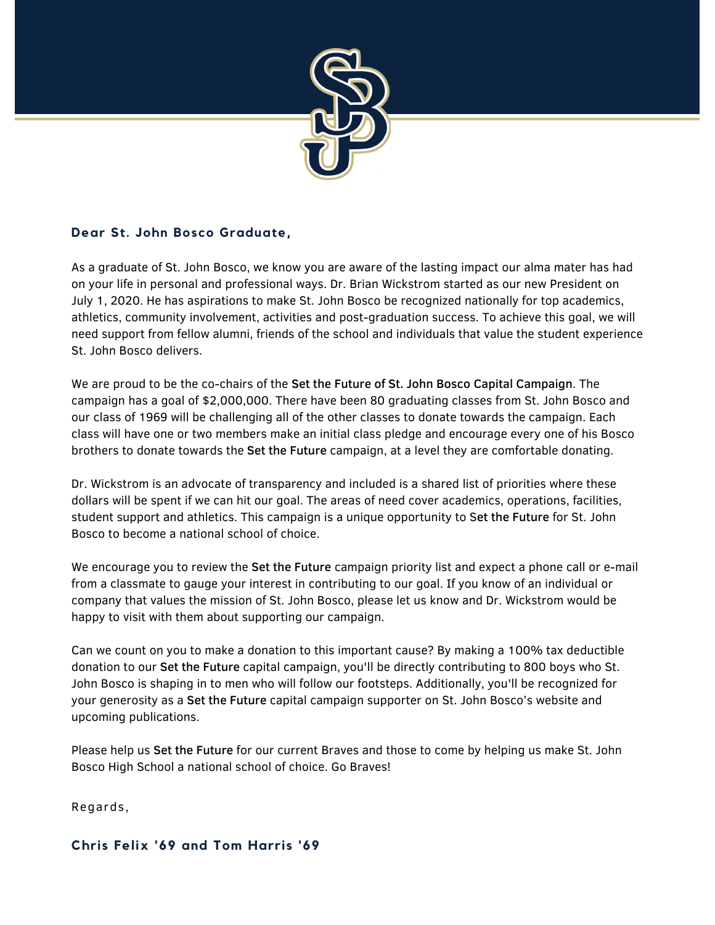

## **Dear St. John Bosco Graduate,**

As a graduate of St. John Bosco, we know you are aware of the lasting impact our alma mater has had on your life in personal and professional ways. Dr. Brian Wickstrom started as our new President on July 1, 2020. He has aspirations to make St. John Bosco be recognized nationally for top academics, athletics, community involvement, activities and post-graduation success. To achieve this goal, we will need support from fellow alumni, friends of the school and individuals that value the student experience St. John Bosco delivers.

We are proud to be the co-chairs of the Set the Future of St. John Bosco Capital Campaign. The campaign has a goal of \$2,000,000. There have been 80 graduating classes from St. John Bosco and our class of 1969 will be challenging all of the other classes to donate towards the campaign. Each class will have one or two members make an initial class pledge and encourage every one of his Bosco brothers to donate towards the Set the Future campaign, at a level they are comfortable donating.

Dr. Wickstrom is an advocate of transparency and included is a shared list of priorities where these dollars will be spent if we can hit our goal. The areas of need cover academics, operations, facilities, student support and athletics. This campaign is a unique opportunity to Set the Future for St. John Bosco to become a national school of choice.

We encourage you to review the Set the Future campaign priority list and expect a phone call or e-mail from a classmate to gauge your interest in contributing to our goal. If you know of an individual or company that values the mission of St. John Bosco, please let us know and Dr. Wickstrom would be happy to visit with them about supporting our campaign.

Can we count on you to make a donation to this important cause? By making a 100% tax deductible donation to our Set the Future capital campaign, you'll be directly contributing to 800 boys who St. John Bosco is shaping in to men who will follow our footsteps. Additionally, you'll be recognized for your generosity as a Set the Future capital campaign supporter on St. John Bosco's website and upcoming publications.

Please help us Set the Future for our current Braves and those to come by helping us make St. John Bosco High School a national school of choice. Go Braves!

Regards,

# **Chris Felix '69 and Tom Harris '69**